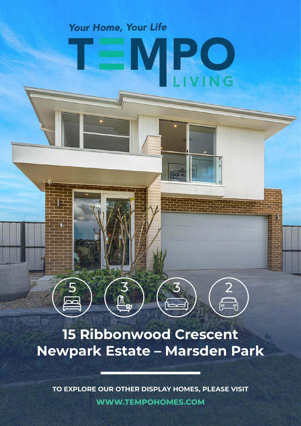## Your Home, Your Life

ال<br>الأولاد

**PO** 

## **15 Ribbonwood Crescent Newpark Estate – Marsden Park**

**TO EXPLORE OUR OTHER DISPLAY HOMES, PLEASE VISIT WWW.TEMPOHOMES.COM**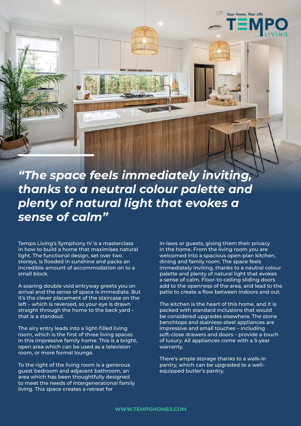

*"The space feels immediately inviting, thanks to a neutral colour palette and plenty of natural light that evokes a sense of calm"*

Tempo Living's Symphony IV is a masterclass in how to build a home that maximises natural light. The functional design, set over two storeys, is flooded in sunshine and packs an incredible amount of accommodation on to a small block.

A soaring double void entryway greets you on arrival and the sense of space is immediate. But it's the clever placement of the staircase on the left – which is reversed, so your eye is drawn straight through the home to the back yard – that is a standout.

The airy entry leads into a light-filled living room, which is the first of three living spaces in this impressive family home. This is a bright, open area which can be used as a television room, or more formal lounge.

To the right of the living room is a generous guest bedroom and adjacent bathroom, an area which has been thoughtfully designed to meet the needs of intergenerational family living. This space creates a retreat for

in-laws or guests, giving them their privacy in the home. From the living room you are welcomed into a spacious open-plan kitchen, dining and family room. The space feels immediately inviting, thanks to a neutral colour palette and plenty of natural light that evokes a sense of calm. Floor-to-ceiling sliding doors add to the openness of the area, and lead to the patio to create a flow between indoors and out.

The kitchen is the heart of this home, and it is packed with standard inclusions that would be considered upgrades elsewhere. The stone benchtops and stainless-steel appliances are impressive and small touches – including soft-close drawers and doors – provide a touch of luxury. All appliances come with a 5-year warranty.

There's ample storage thanks to a walk-in pantry, which can be upgraded to a wellequipped butler's pantry.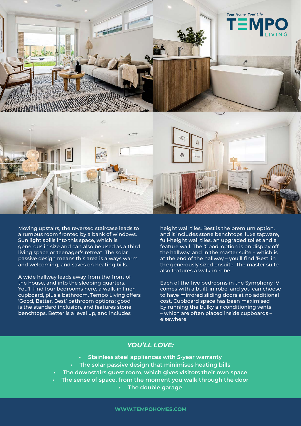

Moving upstairs, the reversed staircase leads to a rumpus room fronted by a bank of windows. Sun light spills into this space, which is generous in size and can also be used as a third living space or teenager's retreat. The solar passive design means this area is always warm and welcoming, and saves on heating bills.

A wide hallway leads away from the front of the house, and into the sleeping quarters. You'll find four bedrooms here, a walk-in linen cupboard, plus a bathroom. Tempo Living offers 'Good, Better, Best' bathroom options: good is the standard inclusion, and features stone benchtops. Better is a level up, and includes

height wall tiles. Best is the premium option, and it includes stone benchtops, luxe tapware, full-height wall tiles, an upgraded toilet and a feature wall. The 'Good' option is on display off the hallway, and in the master suite – which is at the end of the hallway – you'll find 'Best' in the generously sized ensuite. The master suite also features a walk-in robe.

Each of the five bedrooms in the Symphony IV comes with a built-in robe, and you can choose to have mirrored sliding doors at no additional cost. Cupboard space has been maximised by running the bulky air conditioning vents – which are often placed inside cupboards – elsewhere.

## *YOU'LL LOVE:*

- **• Stainless steel appliances with 5-year warranty**
- **• The solar passive design that minimises heating bills**
- **• The downstairs guest room, which gives visitors their own space**
- **• The sense of space, from the moment you walk through the door**
	- **• The double garage**